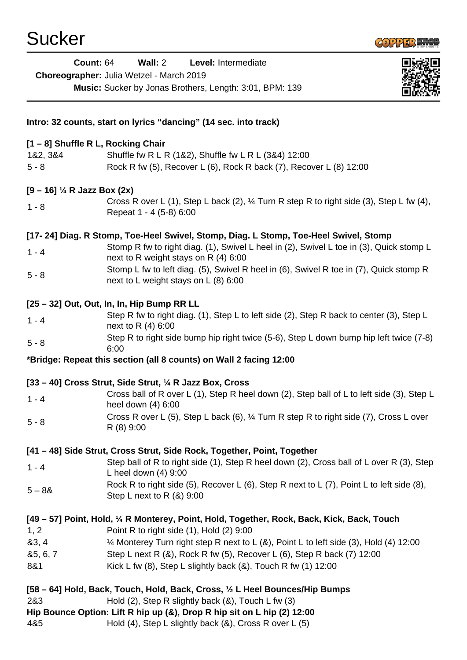

| <b>Count: 64</b>                   | Wall: 2<br>Level: Intermediate<br>Choreographer: Julia Wetzel - March 2019                                                      |
|------------------------------------|---------------------------------------------------------------------------------------------------------------------------------|
|                                    | Music: Sucker by Jonas Brothers, Length: 3:01, BPM: 139                                                                         |
|                                    | Intro: 32 counts, start on lyrics "dancing" (14 sec. into track)                                                                |
| [1 - 8] Shuffle R L, Rocking Chair |                                                                                                                                 |
| 1&2, 3&4                           | Shuffle fw R L R (1&2), Shuffle fw L R L (3&4) 12:00                                                                            |
| $5 - 8$                            | Rock R fw (5), Recover L (6), Rock R back (7), Recover L (8) 12:00                                                              |
| $[9 - 16]$ ¼ R Jazz Box (2x)       |                                                                                                                                 |
| $1 - 8$                            | Cross R over L (1), Step L back (2), 1/4 Turn R step R to right side (3), Step L fw (4),<br>Repeat 1 - 4 (5-8) 6:00             |
|                                    | [17-24] Diag. R Stomp, Toe-Heel Swivel, Stomp, Diag. L Stomp, Toe-Heel Swivel, Stomp                                            |
| $1 - 4$                            | Stomp R fw to right diag. (1), Swivel L heel in (2), Swivel L toe in (3), Quick stomp L<br>next to R weight stays on R (4) 6:00 |
| $5 - 8$                            | Stomp L fw to left diag. (5), Swivel R heel in (6), Swivel R toe in (7), Quick stomp R<br>next to L weight stays on L (8) 6:00  |
|                                    | [25 - 32] Out, Out, In, In, Hip Bump RR LL                                                                                      |
| $1 - 4$                            | Step R fw to right diag. (1), Step L to left side (2), Step R back to center (3), Step L<br>next to R (4) 6:00                  |
| $5 - 8$                            | Step R to right side bump hip right twice (5-6), Step L down bump hip left twice (7-8)<br>6:00                                  |
|                                    | *Bridge: Repeat this section (all 8 counts) on Wall 2 facing 12:00                                                              |
|                                    | [33 – 40] Cross Strut, Side Strut, 1/4 R Jazz Box, Cross                                                                        |
| $1 - 4$                            | Cross ball of R over L (1), Step R heel down (2), Step ball of L to left side (3), Step L<br>heel down (4) 6:00                 |
| $5 - 8$                            | Cross R over L (5), Step L back (6), 1/4 Turn R step R to right side (7), Cross L over<br>R (8) 9:00                            |
|                                    | [41 – 48] Side Strut, Cross Strut, Side Rock, Together, Point, Together                                                         |
| $1 - 4$                            | Step ball of R to right side (1), Step R heel down (2), Cross ball of L over R (3), Step<br>L heel down $(4)$ 9:00              |
| $5 - 88$                           | Rock R to right side (5), Recover L (6), Step R next to L (7), Point L to left side (8),<br>Step L next to R $(8)$ 9:00         |
|                                    | [49 – 57] Point, Hold, 1/4 R Monterey, Point, Hold, Together, Rock, Back, Kick, Back, Touch                                     |
| 1, 2                               | Point R to right side (1), Hold (2) 9:00                                                                                        |
| 83, 4                              | 12:00 Monterey Turn right step R next to L (&), Point L to left side (3), Hold (4) 12:00                                        |
| 85, 6, 7                           | Step L next R (&), Rock R fw (5), Recover L (6), Step R back (7) 12:00                                                          |
| 8&1                                | Kick L fw $(8)$ , Step L slightly back $(8)$ , Touch R fw $(1)$ 12:00                                                           |
|                                    | [58 – 64] Hold, Back, Touch, Hold, Back, Cross, 1/2 L Heel Bounces/Hip Bumps                                                    |
| 2&3                                | Hold $(2)$ , Step R slightly back $(8)$ , Touch L fw $(3)$                                                                      |
|                                    | Hip Bounce Option: Lift R hip up (&), Drop R hip sit on L hip (2) 12:00                                                         |
| 4&5                                | Hold (4), Step L slightly back (&), Cross R over L (5)                                                                          |